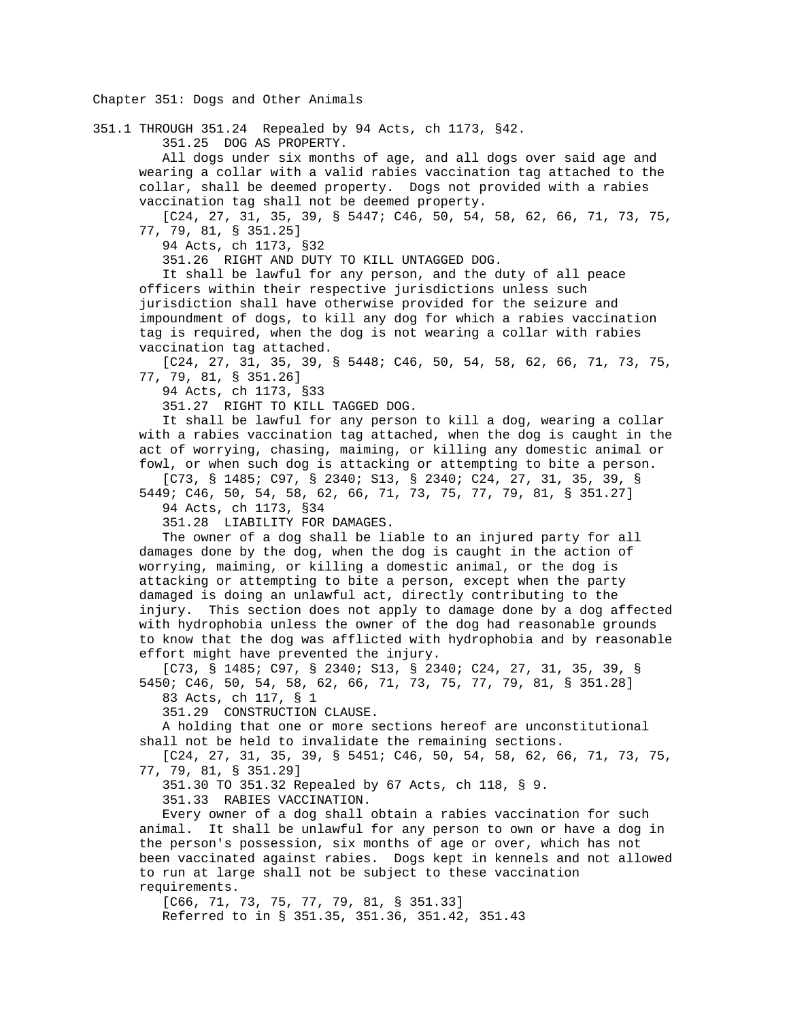## Chapter 351: Dogs and Other Animals

351.1 THROUGH 351.24 Repealed by 94 Acts, ch 1173, §42.

351.25 DOG AS PROPERTY.

 All dogs under six months of age, and all dogs over said age and wearing a collar with a valid rabies vaccination tag attached to the collar, shall be deemed property. Dogs not provided with a rabies vaccination tag shall not be deemed property.

 [C24, 27, 31, 35, 39, § 5447; C46, 50, 54, 58, 62, 66, 71, 73, 75, 77, 79, 81, § 351.25]

94 Acts, ch 1173, §32

351.26 RIGHT AND DUTY TO KILL UNTAGGED DOG.

 It shall be lawful for any person, and the duty of all peace officers within their respective jurisdictions unless such jurisdiction shall have otherwise provided for the seizure and impoundment of dogs, to kill any dog for which a rabies vaccination tag is required, when the dog is not wearing a collar with rabies vaccination tag attached.

 [C24, 27, 31, 35, 39, § 5448; C46, 50, 54, 58, 62, 66, 71, 73, 75, 77, 79, 81, § 351.26]

94 Acts, ch 1173, §33

351.27 RIGHT TO KILL TAGGED DOG.

 It shall be lawful for any person to kill a dog, wearing a collar with a rabies vaccination tag attached, when the dog is caught in the act of worrying, chasing, maiming, or killing any domestic animal or fowl, or when such dog is attacking or attempting to bite a person.

 [C73, § 1485; C97, § 2340; S13, § 2340; C24, 27, 31, 35, 39, § 5449; C46, 50, 54, 58, 62, 66, 71, 73, 75, 77, 79, 81, § 351.27] 94 Acts, ch 1173, §34

351.28 LIABILITY FOR DAMAGES.

 The owner of a dog shall be liable to an injured party for all damages done by the dog, when the dog is caught in the action of worrying, maiming, or killing a domestic animal, or the dog is attacking or attempting to bite a person, except when the party damaged is doing an unlawful act, directly contributing to the injury. This section does not apply to damage done by a dog affected with hydrophobia unless the owner of the dog had reasonable grounds to know that the dog was afflicted with hydrophobia and by reasonable effort might have prevented the injury.

 [C73, § 1485; C97, § 2340; S13, § 2340; C24, 27, 31, 35, 39, § 5450; C46, 50, 54, 58, 62, 66, 71, 73, 75, 77, 79, 81, § 351.28]

83 Acts, ch 117, § 1

351.29 CONSTRUCTION CLAUSE.

 A holding that one or more sections hereof are unconstitutional shall not be held to invalidate the remaining sections.

 [C24, 27, 31, 35, 39, § 5451; C46, 50, 54, 58, 62, 66, 71, 73, 75, 77, 79, 81, § 351.29]

351.30 TO 351.32 Repealed by 67 Acts, ch 118, § 9.

351.33 RABIES VACCINATION.

 Every owner of a dog shall obtain a rabies vaccination for such animal. It shall be unlawful for any person to own or have a dog in the person's possession, six months of age or over, which has not been vaccinated against rabies. Dogs kept in kennels and not allowed to run at large shall not be subject to these vaccination requirements.

 [C66, 71, 73, 75, 77, 79, 81, § 351.33] Referred to in § 351.35, 351.36, 351.42, 351.43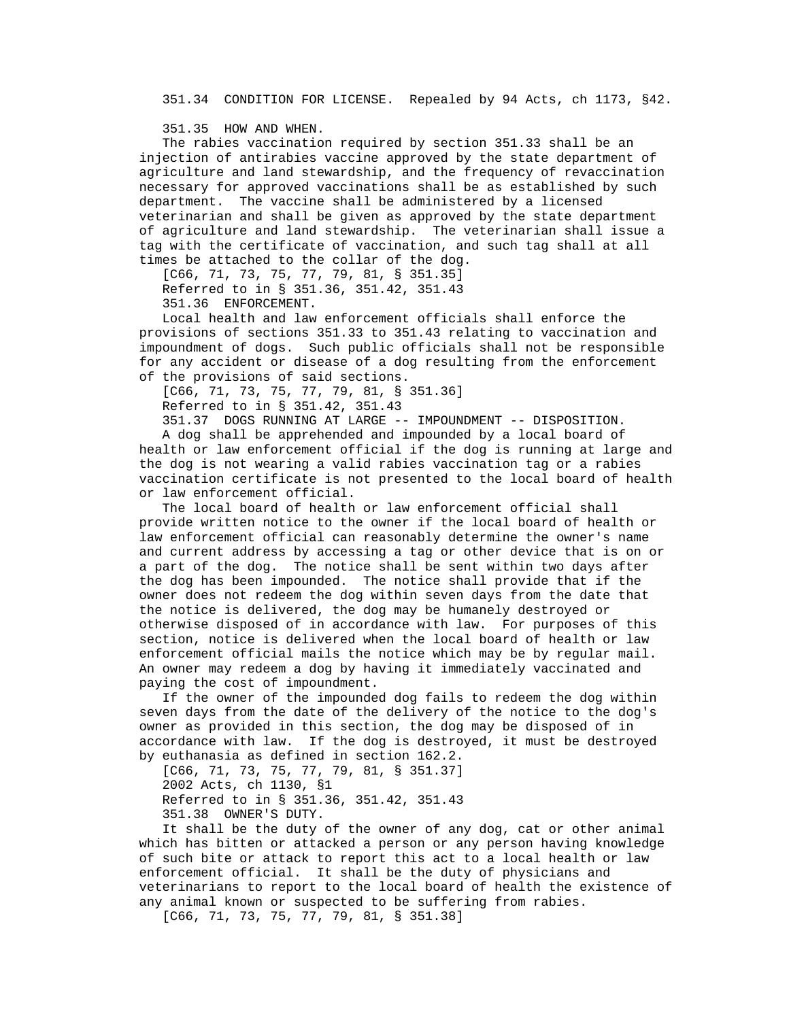351.34 CONDITION FOR LICENSE. Repealed by 94 Acts, ch 1173, §42.

351.35 HOW AND WHEN.

 The rabies vaccination required by section 351.33 shall be an injection of antirabies vaccine approved by the state department of agriculture and land stewardship, and the frequency of revaccination necessary for approved vaccinations shall be as established by such department. The vaccine shall be administered by a licensed veterinarian and shall be given as approved by the state department of agriculture and land stewardship. The veterinarian shall issue a tag with the certificate of vaccination, and such tag shall at all times be attached to the collar of the dog.

 [C66, 71, 73, 75, 77, 79, 81, § 351.35] Referred to in § 351.36, 351.42, 351.43

351.36 ENFORCEMENT.

 Local health and law enforcement officials shall enforce the provisions of sections 351.33 to 351.43 relating to vaccination and impoundment of dogs. Such public officials shall not be responsible for any accident or disease of a dog resulting from the enforcement of the provisions of said sections.

[C66, 71, 73, 75, 77, 79, 81, § 351.36]

Referred to in § 351.42, 351.43

 351.37 DOGS RUNNING AT LARGE -- IMPOUNDMENT -- DISPOSITION. A dog shall be apprehended and impounded by a local board of health or law enforcement official if the dog is running at large and the dog is not wearing a valid rabies vaccination tag or a rabies vaccination certificate is not presented to the local board of health

or law enforcement official.

 The local board of health or law enforcement official shall provide written notice to the owner if the local board of health or law enforcement official can reasonably determine the owner's name and current address by accessing a tag or other device that is on or a part of the dog. The notice shall be sent within two days after the dog has been impounded. The notice shall provide that if the owner does not redeem the dog within seven days from the date that the notice is delivered, the dog may be humanely destroyed or otherwise disposed of in accordance with law. For purposes of this section, notice is delivered when the local board of health or law enforcement official mails the notice which may be by regular mail. An owner may redeem a dog by having it immediately vaccinated and paying the cost of impoundment.

 If the owner of the impounded dog fails to redeem the dog within seven days from the date of the delivery of the notice to the dog's owner as provided in this section, the dog may be disposed of in accordance with law. If the dog is destroyed, it must be destroyed by euthanasia as defined in section 162.2.

 [C66, 71, 73, 75, 77, 79, 81, § 351.37] 2002 Acts, ch 1130, §1 Referred to in § 351.36, 351.42, 351.43 351.38 OWNER'S DUTY.

 It shall be the duty of the owner of any dog, cat or other animal which has bitten or attacked a person or any person having knowledge of such bite or attack to report this act to a local health or law enforcement official. It shall be the duty of physicians and veterinarians to report to the local board of health the existence of any animal known or suspected to be suffering from rabies.

[C66, 71, 73, 75, 77, 79, 81, § 351.38]